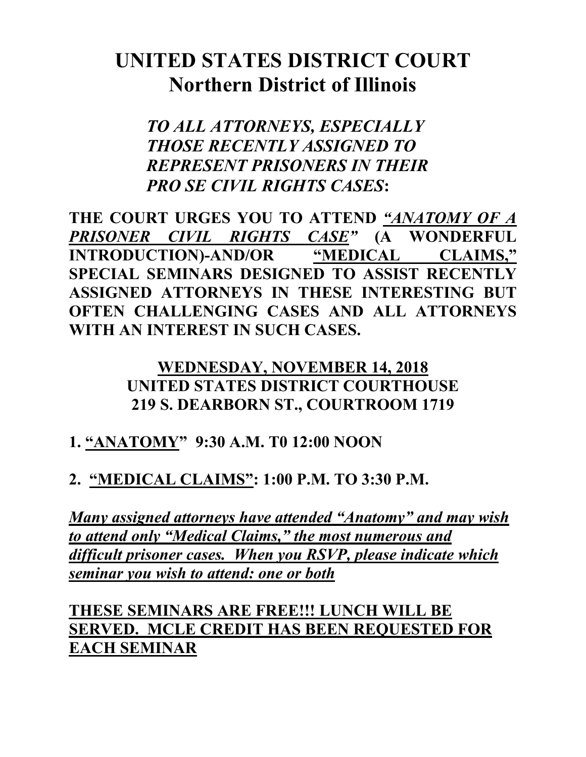# **UNITED STATES DISTRICT COURT Northern District of Illinois**

*TO ALL ATTORNEYS, ESPECIALLY THOSE RECENTLY ASSIGNED TO REPRESENT PRISONERS IN THEIR PRO SE CIVIL RIGHTS CASES***:**

**THE COURT URGES YOU TO ATTEND** *"ANATOMY OF A PRISONER CIVIL RIGHTS CASE"* **(A WONDERFUL INTRODUCTION)-AND/OR "MEDICAL CLAIMS," SPECIAL SEMINARS DESIGNED TO ASSIST RECENTLY ASSIGNED ATTORNEYS IN THESE INTERESTING BUT OFTEN CHALLENGING CASES AND ALL ATTORNEYS WITH AN INTEREST IN SUCH CASES.** 

#### **WEDNESDAY, NOVEMBER 14, 2018 UNITED STATES DISTRICT COURTHOUSE 219 S. DEARBORN ST., COURTROOM 1719**

## **1. "ANATOMY" 9:30 A.M. T0 12:00 NOON**

## **2. "MEDICAL CLAIMS": 1:00 P.M. TO 3:30 P.M.**

*Many assigned attorneys have attended "Anatomy" and may wish to attend only "Medical Claims," the most numerous and difficult prisoner cases. When you RSVP, please indicate which seminar you wish to attend: one or both*

**THESE SEMINARS ARE FREE!!! LUNCH WILL BE SERVED. MCLE CREDIT HAS BEEN REQUESTED FOR EACH SEMINAR**